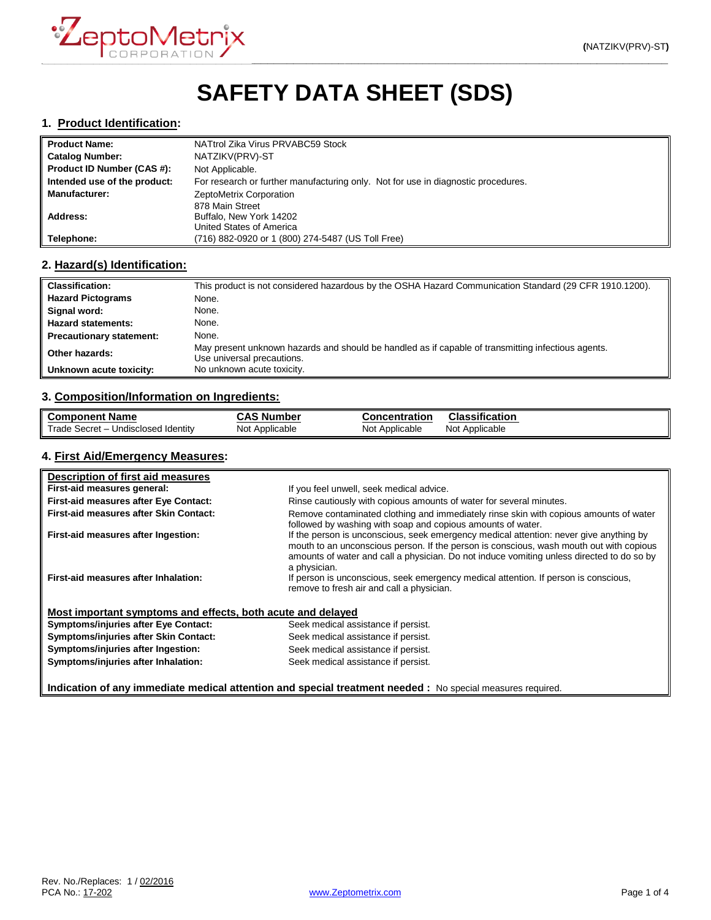

# **SAFETY DATA SHEET (SDS)**

#### **1. Product Identification:**

| <b>Product Name:</b>         | NATtrol Zika Virus PRVABC59 Stock                                                 |
|------------------------------|-----------------------------------------------------------------------------------|
| <b>Catalog Number:</b>       | NATZIKV(PRV)-ST                                                                   |
| Product ID Number (CAS #):   | Not Applicable.                                                                   |
| Intended use of the product: | For research or further manufacturing only. Not for use in diagnostic procedures. |
| <b>Manufacturer:</b>         | ZeptoMetrix Corporation                                                           |
|                              | 878 Main Street                                                                   |
| Address:                     | Buffalo, New York 14202                                                           |
|                              | United States of America                                                          |
| Telephone:                   | (716) 882-0920 or 1 (800) 274-5487 (US Toll Free)                                 |

## **2. Hazard(s) Identification:**

| <b>Classification:</b>          | This product is not considered hazardous by the OSHA Hazard Communication Standard (29 CFR 1910.1200).                           |
|---------------------------------|----------------------------------------------------------------------------------------------------------------------------------|
| <b>Hazard Pictograms</b>        | None.                                                                                                                            |
| Signal word:                    | None.                                                                                                                            |
| <b>Hazard statements:</b>       | None.                                                                                                                            |
| <b>Precautionary statement:</b> | None.                                                                                                                            |
| Other hazards:                  | May present unknown hazards and should be handled as if capable of transmitting infectious agents.<br>Use universal precautions. |
| Unknown acute toxicity:         | No unknown acute toxicity.                                                                                                       |

### **3. Composition/Information on Ingredients:**

| <b>Component Name</b>                      | <b>CAS Number</b> | <b>Concentration</b> | <b>Classification</b> |
|--------------------------------------------|-------------------|----------------------|-----------------------|
| Trade Secret – u<br>– Undisclosed Identitv | Not Applicable    | Not Applicable       | Not Applicable        |

## **4. First Aid/Emergency Measures:**

| Description of first aid measures                           |                                                                                                                                                                                                                                                                                                |
|-------------------------------------------------------------|------------------------------------------------------------------------------------------------------------------------------------------------------------------------------------------------------------------------------------------------------------------------------------------------|
| First-aid measures general:                                 | If you feel unwell, seek medical advice.                                                                                                                                                                                                                                                       |
| First-aid measures after Eye Contact:                       | Rinse cautiously with copious amounts of water for several minutes.                                                                                                                                                                                                                            |
| First-aid measures after Skin Contact:                      | Remove contaminated clothing and immediately rinse skin with copious amounts of water<br>followed by washing with soap and copious amounts of water.                                                                                                                                           |
| First-aid measures after Ingestion:                         | If the person is unconscious, seek emergency medical attention: never give anything by<br>mouth to an unconscious person. If the person is conscious, wash mouth out with copious<br>amounts of water and call a physician. Do not induce vomiting unless directed to do so by<br>a physician. |
| First-aid measures after Inhalation:                        | If person is unconscious, seek emergency medical attention. If person is conscious,<br>remove to fresh air and call a physician.                                                                                                                                                               |
| Most important symptoms and effects, both acute and delayed |                                                                                                                                                                                                                                                                                                |
| <b>Symptoms/injuries after Eye Contact:</b>                 | Seek medical assistance if persist.                                                                                                                                                                                                                                                            |
| Symptoms/injuries after Skin Contact:                       | Seek medical assistance if persist.                                                                                                                                                                                                                                                            |
| Symptoms/injuries after Ingestion:                          | Seek medical assistance if persist.                                                                                                                                                                                                                                                            |
| Symptoms/injuries after Inhalation:                         | Seek medical assistance if persist.                                                                                                                                                                                                                                                            |

**Indication of any immediate medical attention and special treatment needed :** No special measures required.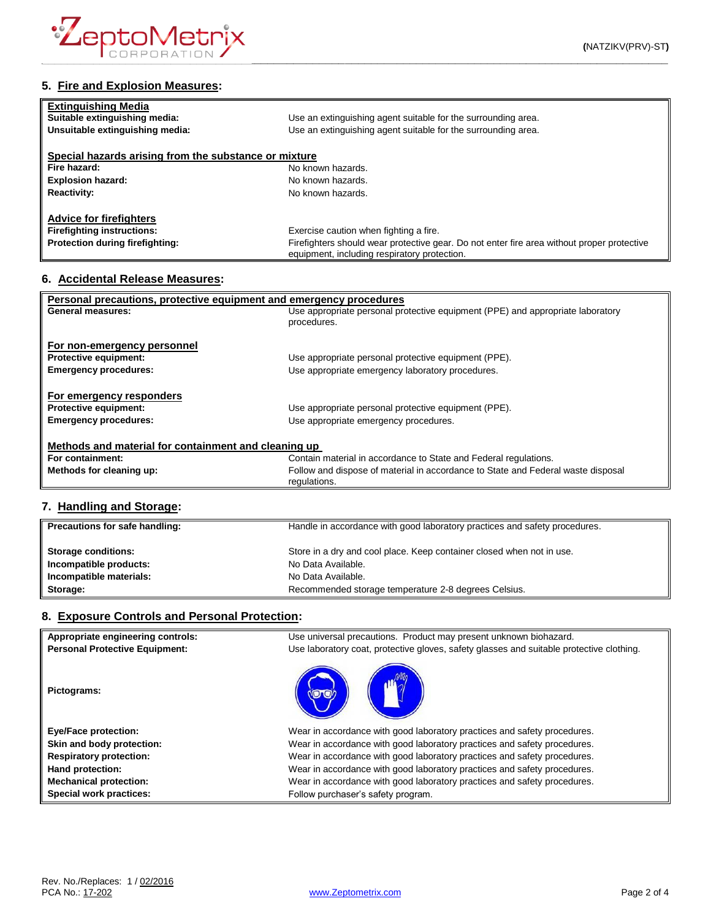

# **5. Fire and Explosion Measures:**

| <b>Extinguishing Media</b><br>Suitable extinguishing media: | Use an extinguishing agent suitable for the surrounding area.                                                                              |
|-------------------------------------------------------------|--------------------------------------------------------------------------------------------------------------------------------------------|
| Unsuitable extinguishing media:                             | Use an extinguishing agent suitable for the surrounding area.                                                                              |
| Special hazards arising from the substance or mixture       |                                                                                                                                            |
| Fire hazard:                                                | No known hazards.                                                                                                                          |
| <b>Explosion hazard:</b>                                    | No known hazards.                                                                                                                          |
| <b>Reactivity:</b>                                          | No known hazards.                                                                                                                          |
| <b>Advice for firefighters</b>                              |                                                                                                                                            |
| <b>Firefighting instructions:</b>                           | Exercise caution when fighting a fire.                                                                                                     |
| Protection during firefighting:                             | Firefighters should wear protective gear. Do not enter fire area without proper protective<br>equipment, including respiratory protection. |

#### **6. Accidental Release Measures:**

| Personal precautions, protective equipment and emergency procedures                      |                                                                                                  |  |
|------------------------------------------------------------------------------------------|--------------------------------------------------------------------------------------------------|--|
| General measures:                                                                        | Use appropriate personal protective equipment (PPE) and appropriate laboratory<br>procedures.    |  |
| For non-emergency personnel                                                              |                                                                                                  |  |
| <b>Protective equipment:</b>                                                             | Use appropriate personal protective equipment (PPE).                                             |  |
| <b>Emergency procedures:</b>                                                             | Use appropriate emergency laboratory procedures.                                                 |  |
| For emergency responders<br><b>Protective equipment:</b><br><b>Emergency procedures:</b> | Use appropriate personal protective equipment (PPE).<br>Use appropriate emergency procedures.    |  |
| Methods and material for containment and cleaning up                                     |                                                                                                  |  |
| For containment:                                                                         | Contain material in accordance to State and Federal regulations.                                 |  |
| Methods for cleaning up:                                                                 | Follow and dispose of material in accordance to State and Federal waste disposal<br>regulations. |  |

## **7. Handling and Storage:**

| Precautions for safe handling: | Handle in accordance with good laboratory practices and safety procedures. |
|--------------------------------|----------------------------------------------------------------------------|
| <b>Storage conditions:</b>     | Store in a dry and cool place. Keep container closed when not in use.      |
| Incompatible products:         | No Data Available.                                                         |
| Incompatible materials:        | No Data Available.                                                         |
| Storage:                       | Recommended storage temperature 2-8 degrees Celsius.                       |

# **8. Exposure Controls and Personal Protection:**

| Appropriate engineering controls:<br><b>Personal Protective Equipment:</b> | Use universal precautions. Product may present unknown biohazard.<br>Use laboratory coat, protective gloves, safety glasses and suitable protective clothing. |
|----------------------------------------------------------------------------|---------------------------------------------------------------------------------------------------------------------------------------------------------------|
| Pictograms:                                                                |                                                                                                                                                               |
| <b>Eye/Face protection:</b>                                                | Wear in accordance with good laboratory practices and safety procedures.                                                                                      |
| Skin and body protection:                                                  | Wear in accordance with good laboratory practices and safety procedures.                                                                                      |
| <b>Respiratory protection:</b>                                             | Wear in accordance with good laboratory practices and safety procedures.                                                                                      |
| Hand protection:                                                           | Wear in accordance with good laboratory practices and safety procedures.                                                                                      |
| <b>Mechanical protection:</b>                                              | Wear in accordance with good laboratory practices and safety procedures.                                                                                      |
| Special work practices:                                                    | Follow purchaser's safety program.                                                                                                                            |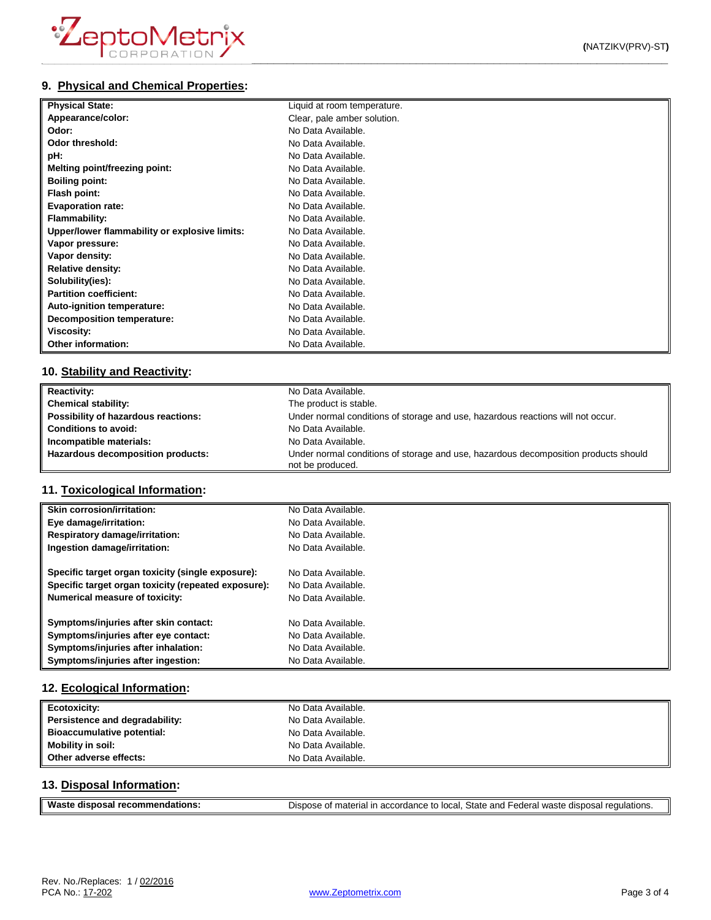| <b>Physical State:</b>                        | Liquid at room temperature. |
|-----------------------------------------------|-----------------------------|
| Appearance/color:                             | Clear, pale amber solution. |
| Odor:                                         | No Data Available.          |
| Odor threshold:                               | No Data Available.          |
| pH:                                           | No Data Available.          |
| Melting point/freezing point:                 | No Data Available.          |
| <b>Boiling point:</b>                         | No Data Available.          |
| Flash point:                                  | No Data Available.          |
| <b>Evaporation rate:</b>                      | No Data Available.          |
| <b>Flammability:</b>                          | No Data Available.          |
| Upper/lower flammability or explosive limits: | No Data Available.          |
| Vapor pressure:                               | No Data Available.          |
| Vapor density:                                | No Data Available.          |
| <b>Relative density:</b>                      | No Data Available.          |
| Solubility(ies):                              | No Data Available.          |
| <b>Partition coefficient:</b>                 | No Data Available.          |
| Auto-ignition temperature:                    | No Data Available.          |
| Decomposition temperature:                    | No Data Available.          |
| <b>Viscosity:</b>                             | No Data Available.          |
| Other information:                            | No Data Available.          |

#### **10. Stability and Reactivity:**

| <b>Reactivity:</b>                  | No Data Available.                                                                                      |
|-------------------------------------|---------------------------------------------------------------------------------------------------------|
| <b>Chemical stability:</b>          | The product is stable.                                                                                  |
| Possibility of hazardous reactions: | Under normal conditions of storage and use, hazardous reactions will not occur.                         |
| <b>Conditions to avoid:</b>         | No Data Available.                                                                                      |
| Incompatible materials:             | No Data Available.                                                                                      |
| Hazardous decomposition products:   | Under normal conditions of storage and use, hazardous decomposition products should<br>not be produced. |

#### **11. Toxicological Information:**

| <b>Skin corrosion/irritation:</b>                   | No Data Available. |
|-----------------------------------------------------|--------------------|
| Eye damage/irritation:                              | No Data Available. |
| <b>Respiratory damage/irritation:</b>               | No Data Available. |
| Ingestion damage/irritation:                        | No Data Available. |
|                                                     |                    |
| Specific target organ toxicity (single exposure):   | No Data Available. |
| Specific target organ toxicity (repeated exposure): | No Data Available. |
| Numerical measure of toxicity:                      | No Data Available. |
| Symptoms/injuries after skin contact:               | No Data Available. |
| Symptoms/injuries after eye contact:                | No Data Available. |
|                                                     |                    |
| Symptoms/injuries after inhalation:                 | No Data Available. |
| Symptoms/injuries after ingestion:                  | No Data Available. |

## **12. Ecological Information:**

| Ecotoxicity:                   | No Data Available. |
|--------------------------------|--------------------|
| Persistence and degradability: | No Data Available. |
| Bioaccumulative potential:     | No Data Available. |
| <b>Mobility in soil:</b>       | No Data Available. |
| Other adverse effects:         | No Data Available. |

#### **13. Disposal Information:**

| Waste disposal recommendations: | Dispose of material in accordance to local, State and Federal waste disposal regulations. |
|---------------------------------|-------------------------------------------------------------------------------------------|